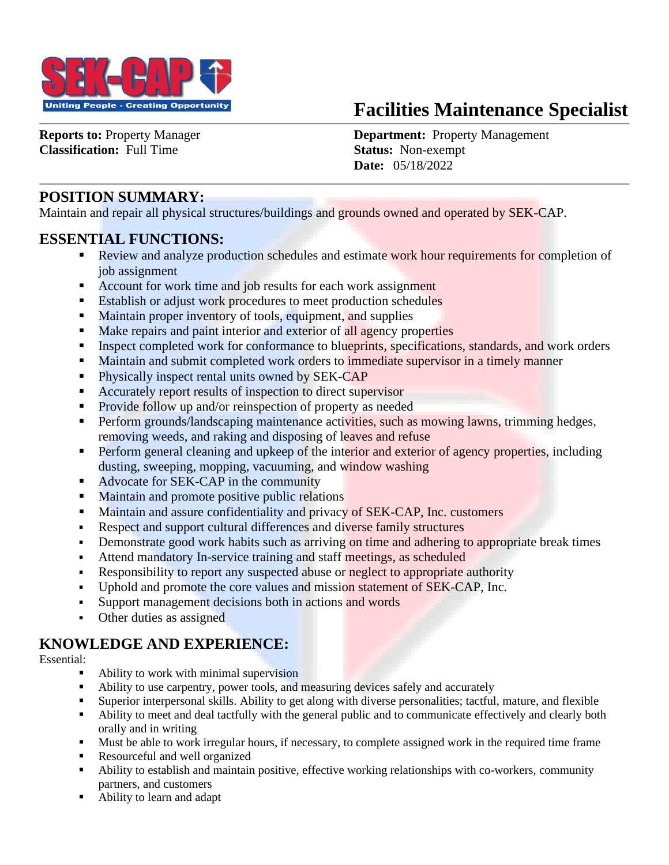

# **Facilities Maintenance Specialist**

**Classification:** Full Time **Status:** Non-exempt

**Reports to:** Property Manager **Department:** Property Management  **Date:** 05/18/2022

# **POSITION SUMMARY:**

Maintain and repair all physical structures/buildings and grounds owned and operated by SEK-CAP.

### **ESSENTIAL FUNCTIONS:**

- Review and analyze production schedules and estimate work hour requirements for completion of job assignment
- Account for work time and job results for each work assignment
- Establish or adjust work procedures to meet production schedules
- Maintain proper inventory of tools, equipment, and supplies
- Make repairs and paint interior and exterior of all agency properties
- **Examplement Completed work for conformance to blueprints, specifications, standards, and work orders**
- Maintain and submit completed work orders to immediate supervisor in a timely manner
- **•** Physically inspect rental units owned by SEK-CAP
- Accurately report results of inspection to direct supervisor
- Provide follow up and/or reinspection of property as needed
- Perform grounds/landscaping maintenance activities, such as mowing lawns, trimming hedges, removing weeds, and raking and disposing of leaves and refuse
- **Perform general cleaning and upkeep of the interior and exterior of agency properties, including** dusting, sweeping, mopping, vacuuming, and window washing
- Advocate for SEK-CAP in the community
- Maintain and promote positive public relations
- Maintain and assure confidentiality and privacy of SEK-CAP, Inc. customers
- Respect and support cultural differences and diverse family structures
- Demonstrate good work habits such as arriving on time and adhering to appropriate break times
- Attend mandatory In-service training and staff meetings, as scheduled
- **EXECUTE:** Responsibility to report any suspected abuse or neglect to appropriate authority
- Uphold and promote the core values and mission statement of SEK-CAP, Inc.
- Support management decisions both in actions and words
- Other duties as assigned

### **KNOWLEDGE AND EXPERIENCE:**

#### Essential:

- Ability to work with minimal supervision
- Ability to use carpentry, power tools, and measuring devices safely and accurately
- Superior interpersonal skills. Ability to get along with diverse personalities; tactful, mature, and flexible
- Ability to meet and deal tactfully with the general public and to communicate effectively and clearly both orally and in writing
- Must be able to work irregular hours, if necessary, to complete assigned work in the required time frame
- Resourceful and well organized
- Ability to establish and maintain positive, effective working relationships with co-workers, community partners, and customers
- Ability to learn and adapt